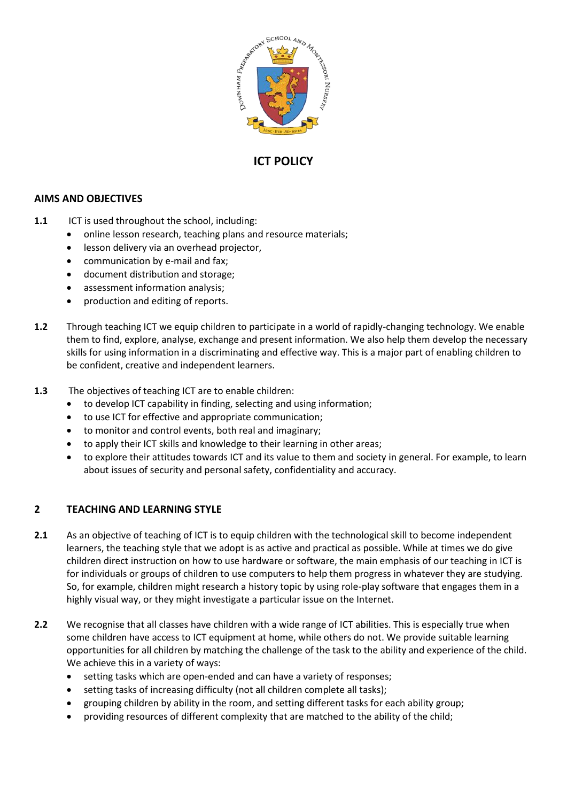

# **ICT POLICY**

### **AIMS AND OBJECTIVES**

- **1.1** ICT is used throughout the school, including:
	- online lesson research, teaching plans and resource materials;
	- **.** lesson delivery via an overhead projector,
	- communication by e-mail and fax;
	- document distribution and storage;
	- assessment information analysis;
	- production and editing of reports.
- **1.2** Through teaching ICT we equip children to participate in a world of rapidly-changing technology. We enable them to find, explore, analyse, exchange and present information. We also help them develop the necessary skills for using information in a discriminating and effective way. This is a major part of enabling children to be confident, creative and independent learners.
- **1.3** The objectives of teaching ICT are to enable children:
	- to develop ICT capability in finding, selecting and using information;
	- to use ICT for effective and appropriate communication;
	- to monitor and control events, both real and imaginary;
	- to apply their ICT skills and knowledge to their learning in other areas;
	- to explore their attitudes towards ICT and its value to them and society in general. For example, to learn about issues of security and personal safety, confidentiality and accuracy.

### **2 TEACHING AND LEARNING STYLE**

- **2.1** As an objective of teaching of ICT is to equip children with the technological skill to become independent learners, the teaching style that we adopt is as active and practical as possible. While at times we do give children direct instruction on how to use hardware or software, the main emphasis of our teaching in ICT is for individuals or groups of children to use computers to help them progress in whatever they are studying. So, for example, children might research a history topic by using role-play software that engages them in a highly visual way, or they might investigate a particular issue on the Internet.
- **2.2** We recognise that all classes have children with a wide range of ICT abilities. This is especially true when some children have access to ICT equipment at home, while others do not. We provide suitable learning opportunities for all children by matching the challenge of the task to the ability and experience of the child. We achieve this in a variety of ways:
	- setting tasks which are open-ended and can have a variety of responses;
	- setting tasks of increasing difficulty (not all children complete all tasks);
	- grouping children by ability in the room, and setting different tasks for each ability group;
	- providing resources of different complexity that are matched to the ability of the child;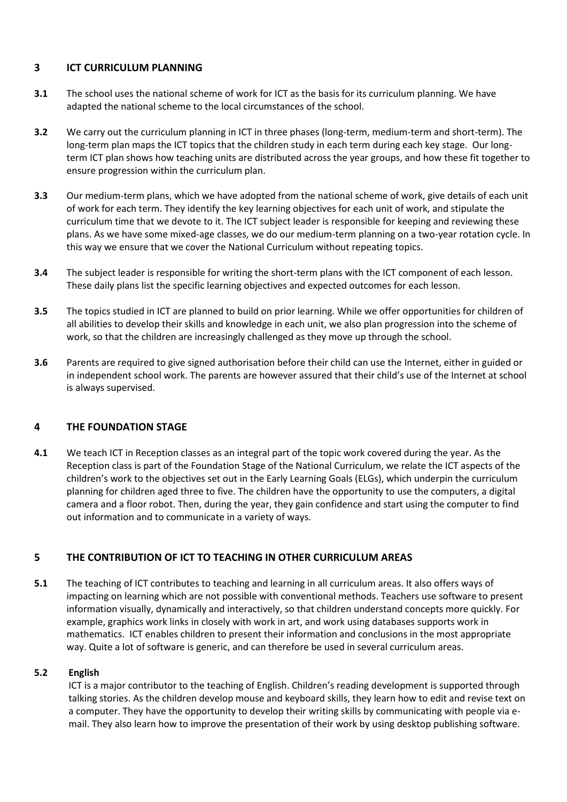### **3 ICT CURRICULUM PLANNING**

- **3.1** The school uses the national scheme of work for ICT as the basis for its curriculum planning. We have adapted the national scheme to the local circumstances of the school.
- **3.2** We carry out the curriculum planning in ICT in three phases (long-term, medium-term and short-term). The long-term plan maps the ICT topics that the children study in each term during each key stage. Our longterm ICT plan shows how teaching units are distributed across the year groups, and how these fit together to ensure progression within the curriculum plan.
- **3.3** Our medium-term plans, which we have adopted from the national scheme of work, give details of each unit of work for each term. They identify the key learning objectives for each unit of work, and stipulate the curriculum time that we devote to it. The ICT subject leader is responsible for keeping and reviewing these plans. As we have some mixed-age classes, we do our medium-term planning on a two-year rotation cycle. In this way we ensure that we cover the National Curriculum without repeating topics.
- **3.4** The subject leader is responsible for writing the short-term plans with the ICT component of each lesson. These daily plans list the specific learning objectives and expected outcomes for each lesson.
- **3.5** The topics studied in ICT are planned to build on prior learning. While we offer opportunities for children of all abilities to develop their skills and knowledge in each unit, we also plan progression into the scheme of work, so that the children are increasingly challenged as they move up through the school.
- **3.6** Parents are required to give signed authorisation before their child can use the Internet, either in guided or in independent school work. The parents are however assured that their child's use of the Internet at school is always supervised.

# **4 THE FOUNDATION STAGE**

**4.1** We teach ICT in Reception classes as an integral part of the topic work covered during the year. As the Reception class is part of the Foundation Stage of the National Curriculum, we relate the ICT aspects of the children's work to the objectives set out in the Early Learning Goals (ELGs), which underpin the curriculum planning for children aged three to five. The children have the opportunity to use the computers, a digital camera and a floor robot. Then, during the year, they gain confidence and start using the computer to find out information and to communicate in a variety of ways.

# **5 THE CONTRIBUTION OF ICT TO TEACHING IN OTHER CURRICULUM AREAS**

**5.1** The teaching of ICT contributes to teaching and learning in all curriculum areas. It also offers ways of impacting on learning which are not possible with conventional methods. Teachers use software to present information visually, dynamically and interactively, so that children understand concepts more quickly. For example, graphics work links in closely with work in art, and work using databases supports work in mathematics. ICT enables children to present their information and conclusions in the most appropriate way. Quite a lot of software is generic, and can therefore be used in several curriculum areas.

#### **5.2 English**

ICT is a major contributor to the teaching of English. Children's reading development is supported through talking stories. As the children develop mouse and keyboard skills, they learn how to edit and revise text on a computer. They have the opportunity to develop their writing skills by communicating with people via email. They also learn how to improve the presentation of their work by using desktop publishing software.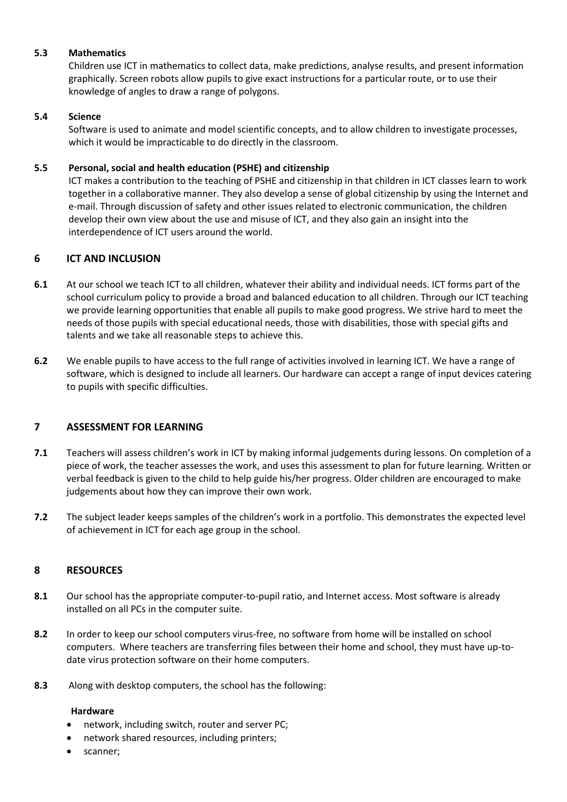#### **5.3 Mathematics**

Children use ICT in mathematics to collect data, make predictions, analyse results, and present information graphically. Screen robots allow pupils to give exact instructions for a particular route, or to use their knowledge of angles to draw a range of polygons.

#### **5.4 Science**

Software is used to animate and model scientific concepts, and to allow children to investigate processes, which it would be impracticable to do directly in the classroom.

#### **5.5 Personal, social and health education (PSHE) and citizenship**

ICT makes a contribution to the teaching of PSHE and citizenship in that children in ICT classes learn to work together in a collaborative manner. They also develop a sense of global citizenship by using the Internet and e-mail. Through discussion of safety and other issues related to electronic communication, the children develop their own view about the use and misuse of ICT, and they also gain an insight into the interdependence of ICT users around the world.

### **6 ICT AND INCLUSION**

- **6.1** At our school we teach ICT to all children, whatever their ability and individual needs. ICT forms part of the school curriculum policy to provide a broad and balanced education to all children. Through our ICT teaching we provide learning opportunities that enable all pupils to make good progress. We strive hard to meet the needs of those pupils with special educational needs, those with disabilities, those with special gifts and talents and we take all reasonable steps to achieve this.
- **6.2** We enable pupils to have access to the full range of activities involved in learning ICT. We have a range of software, which is designed to include all learners. Our hardware can accept a range of input devices catering to pupils with specific difficulties.

### **7 ASSESSMENT FOR LEARNING**

- **7.1** Teachers will assess children's work in ICT by making informal judgements during lessons. On completion of a piece of work, the teacher assesses the work, and uses this assessment to plan for future learning. Written or verbal feedback is given to the child to help guide his/her progress. Older children are encouraged to make judgements about how they can improve their own work.
- **7.2** The subject leader keeps samples of the children's work in a portfolio. This demonstrates the expected level of achievement in ICT for each age group in the school.

### **8 RESOURCES**

- **8.1** Our school has the appropriate computer-to-pupil ratio, and Internet access. Most software is already installed on all PCs in the computer suite.
- **8.2** In order to keep our school computers virus-free, no software from home will be installed on school computers. Where teachers are transferring files between their home and school, they must have up-todate virus protection software on their home computers.
- **8.3** Along with desktop computers, the school has the following:

#### **Hardware**

- network, including switch, router and server PC;
- network shared resources, including printers;
- scanner;